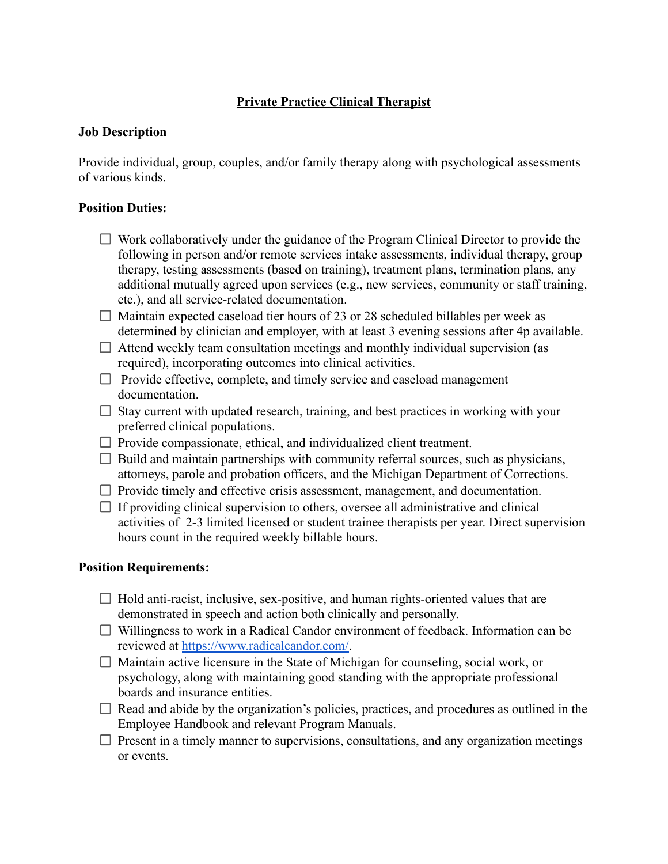## **Private Practice Clinical Therapist**

## **Job Description**

Provide individual, group, couples, and/or family therapy along with psychological assessments of various kinds.

## **Position Duties:**

- $\Box$  Work collaboratively under the guidance of the Program Clinical Director to provide the following in person and/or remote services intake assessments, individual therapy, group therapy, testing assessments (based on training), treatment plans, termination plans, any additional mutually agreed upon services (e.g., new services, community or staff training, etc.), and all service-related documentation.
- $\Box$  Maintain expected caseload tier hours of 23 or 28 scheduled billables per week as determined by clinician and employer, with at least 3 evening sessions after 4p available.
- $\Box$  Attend weekly team consultation meetings and monthly individual supervision (as required), incorporating outcomes into clinical activities.
- $\Box$  Provide effective, complete, and timely service and caseload management documentation.
- $\Box$  Stay current with updated research, training, and best practices in working with your preferred clinical populations.
- $\Box$  Provide compassionate, ethical, and individualized client treatment.
- $\Box$  Build and maintain partnerships with community referral sources, such as physicians, attorneys, parole and probation officers, and the Michigan Department of Corrections.
- $\Box$  Provide timely and effective crisis assessment, management, and documentation.
- $\Box$  If providing clinical supervision to others, oversee all administrative and clinical activities of 2-3 limited licensed or student trainee therapists per year. Direct supervision hours count in the required weekly billable hours.

## **Position Requirements:**

- $\Box$  Hold anti-racist, inclusive, sex-positive, and human rights-oriented values that are demonstrated in speech and action both clinically and personally.
- Willingness to work in a Radical Candor environment of feedback. Information can be reviewed at [https://www.radicalcandor.com/.](https://www.radicalcandor.com/)
- $\Box$  Maintain active licensure in the State of Michigan for counseling, social work, or psychology, along with maintaining good standing with the appropriate professional boards and insurance entities.
- $\Box$  Read and abide by the organization's policies, practices, and procedures as outlined in the Employee Handbook and relevant Program Manuals.
- $\Box$  Present in a timely manner to supervisions, consultations, and any organization meetings or events.